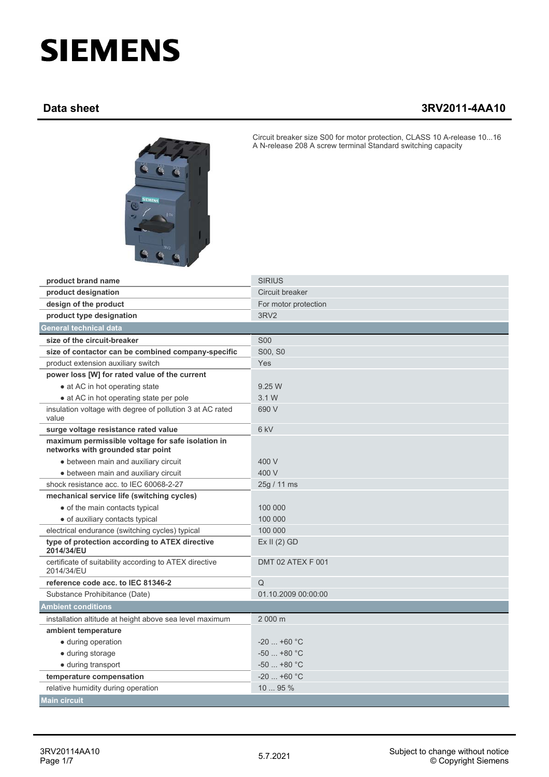## **SIEMENS**

## **Data sheet 3RV2011-4AA10**



Circuit breaker size S00 for motor protection, CLASS 10 A-release 10...16 A N-release 208 A screw terminal Standard switching capacity

| product brand name                                                                     | <b>SIRIUS</b>            |
|----------------------------------------------------------------------------------------|--------------------------|
| product designation                                                                    | Circuit breaker          |
| design of the product                                                                  | For motor protection     |
| product type designation                                                               | 3RV <sub>2</sub>         |
| <b>General technical data</b>                                                          |                          |
| size of the circuit-breaker                                                            | <b>S00</b>               |
| size of contactor can be combined company-specific                                     | S00. S0                  |
| product extension auxiliary switch                                                     | <b>Yes</b>               |
| power loss [W] for rated value of the current                                          |                          |
| • at AC in hot operating state                                                         | 9.25W                    |
| • at AC in hot operating state per pole                                                | 3.1W                     |
| insulation voltage with degree of pollution 3 at AC rated                              | 690 V                    |
| value                                                                                  |                          |
| surge voltage resistance rated value                                                   | 6 <sub>kV</sub>          |
| maximum permissible voltage for safe isolation in<br>networks with grounded star point |                          |
| • between main and auxiliary circuit                                                   | 400 V                    |
| • between main and auxiliary circuit                                                   | 400 V                    |
| shock resistance acc. to IEC 60068-2-27                                                | 25g / 11 ms              |
| mechanical service life (switching cycles)                                             |                          |
| • of the main contacts typical                                                         | 100 000                  |
| • of auxiliary contacts typical                                                        | 100 000                  |
| electrical endurance (switching cycles) typical                                        | 100 000                  |
| type of protection according to ATEX directive<br>2014/34/EU                           | Ex II(2) GD              |
| certificate of suitability according to ATEX directive<br>2014/34/EU                   | <b>DMT 02 ATEX F 001</b> |
| reference code acc. to IEC 81346-2                                                     | Q                        |
| Substance Prohibitance (Date)                                                          | 01.10.2009 00:00:00      |
| <b>Ambient conditions</b>                                                              |                          |
| installation altitude at height above sea level maximum                                | 2 000 m                  |
| ambient temperature                                                                    |                          |
| • during operation                                                                     | $-20$ +60 °C             |
| · during storage                                                                       | $-50$ $+80$ °C           |
| · during transport                                                                     | $-50$ $+80$ °C           |
| temperature compensation                                                               | $-20$ $+60$ °C           |
| relative humidity during operation                                                     | 1095%                    |
| <b>Main circuit</b>                                                                    |                          |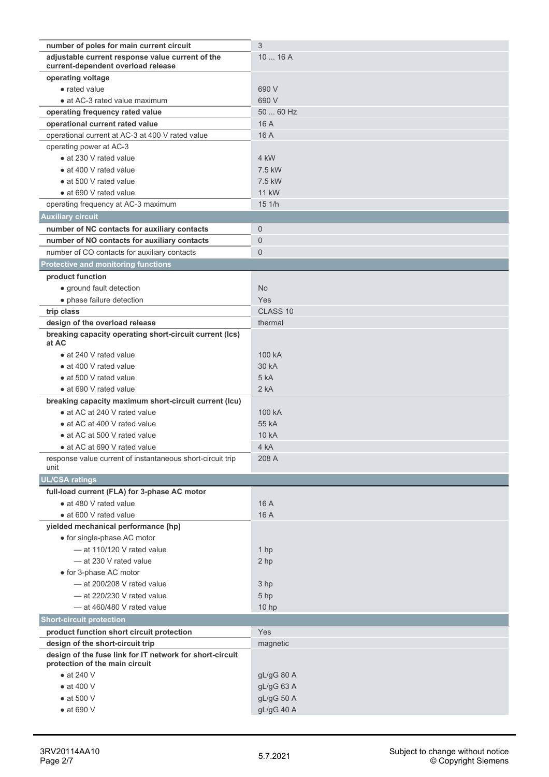| number of poles for main current circuit                                                     | 3                       |
|----------------------------------------------------------------------------------------------|-------------------------|
| adjustable current response value current of the<br>current-dependent overload release       | 1016A                   |
| operating voltage                                                                            |                         |
| • rated value                                                                                | 690 V                   |
| · at AC-3 rated value maximum                                                                | 690 V                   |
| operating frequency rated value                                                              | 50  60 Hz               |
| operational current rated value                                                              | 16 A                    |
| operational current at AC-3 at 400 V rated value                                             | 16 A                    |
| operating power at AC-3                                                                      |                         |
| • at 230 V rated value                                                                       | 4 kW                    |
| • at 400 V rated value                                                                       | 7.5 kW                  |
| • at 500 V rated value<br>• at 690 V rated value                                             | 7.5 kW<br><b>11 kW</b>  |
| operating frequency at AC-3 maximum                                                          | 151/h                   |
|                                                                                              |                         |
| <b>Auxiliary circuit</b>                                                                     |                         |
| number of NC contacts for auxiliary contacts                                                 | $\mathbf 0$<br>$\theta$ |
| number of NO contacts for auxiliary contacts<br>number of CO contacts for auxiliary contacts | $\theta$                |
| Protective and monitoring functions                                                          |                         |
| product function                                                                             |                         |
| • ground fault detection                                                                     | <b>No</b>               |
| • phase failure detection                                                                    | Yes                     |
| trip class                                                                                   | CLASS <sub>10</sub>     |
| design of the overload release                                                               | thermal                 |
| breaking capacity operating short-circuit current (Ics)<br>at AC                             |                         |
| • at 240 V rated value                                                                       | 100 kA                  |
| • at 400 V rated value                                                                       | 30 kA                   |
| • at 500 V rated value                                                                       | 5 kA                    |
| • at 690 V rated value                                                                       | 2 kA                    |
| breaking capacity maximum short-circuit current (Icu)                                        |                         |
| • at AC at 240 V rated value                                                                 | 100 kA                  |
| • at AC at 400 V rated value                                                                 | 55 kA                   |
| • at AC at 500 V rated value                                                                 | 10 kA                   |
| • at AC at 690 V rated value                                                                 | 4 kA                    |
| response value current of instantaneous short-circuit trip<br>unit                           | 208 A                   |
| <b>UL/CSA ratings</b>                                                                        |                         |
| full-load current (FLA) for 3-phase AC motor                                                 |                         |
| • at 480 V rated value                                                                       | 16 A                    |
| • at 600 V rated value                                                                       | 16 A                    |
| yielded mechanical performance [hp]                                                          |                         |
| • for single-phase AC motor                                                                  |                         |
| $-$ at 110/120 V rated value                                                                 | 1 hp                    |
| - at 230 V rated value                                                                       | 2 hp                    |
| • for 3-phase AC motor                                                                       |                         |
| - at 200/208 V rated value                                                                   | 3 hp                    |
| $-$ at 220/230 V rated value                                                                 | 5 <sub>hp</sub>         |
| -at 460/480 V rated value                                                                    | 10 <sub>hp</sub>        |
| <b>Short-circuit protection</b>                                                              |                         |
| product function short circuit protection                                                    | Yes                     |
| design of the short-circuit trip                                                             | magnetic                |
| design of the fuse link for IT network for short-circuit<br>protection of the main circuit   |                         |
| • at 240 V                                                                                   | gL/gG 80 A              |
| $\bullet$ at 400 V                                                                           | gL/gG 63 A              |
| $\bullet$ at 500 V                                                                           | gL/gG 50 A              |
| $\bullet$ at 690 V                                                                           | gL/gG 40 A              |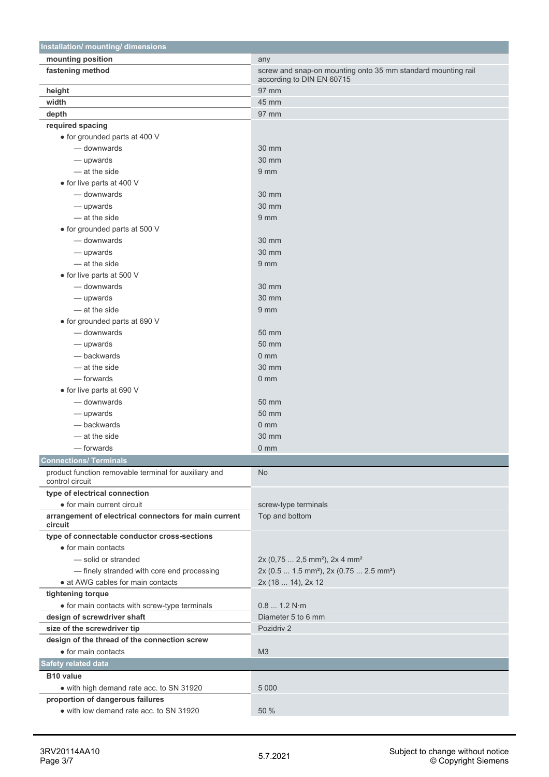| Installation/ mounting/ dimensions                                       |                                                                                           |  |  |  |
|--------------------------------------------------------------------------|-------------------------------------------------------------------------------------------|--|--|--|
| mounting position                                                        | any                                                                                       |  |  |  |
| fastening method                                                         | screw and snap-on mounting onto 35 mm standard mounting rail<br>according to DIN EN 60715 |  |  |  |
| height                                                                   | 97 mm                                                                                     |  |  |  |
| width                                                                    | 45 mm                                                                                     |  |  |  |
| depth                                                                    | 97 mm                                                                                     |  |  |  |
| required spacing                                                         |                                                                                           |  |  |  |
| • for grounded parts at 400 V                                            |                                                                                           |  |  |  |
| - downwards                                                              | 30 mm                                                                                     |  |  |  |
| — upwards                                                                | 30 mm                                                                                     |  |  |  |
| - at the side                                                            | 9 <sub>mm</sub>                                                                           |  |  |  |
| • for live parts at 400 V                                                |                                                                                           |  |  |  |
| — downwards                                                              | 30 mm                                                                                     |  |  |  |
| - upwards                                                                | 30 mm                                                                                     |  |  |  |
| - at the side                                                            | 9 <sub>mm</sub>                                                                           |  |  |  |
| · for grounded parts at 500 V                                            |                                                                                           |  |  |  |
| — downwards                                                              | 30 mm                                                                                     |  |  |  |
| — upwards                                                                | 30 mm                                                                                     |  |  |  |
| - at the side                                                            | $9 \, \text{mm}$                                                                          |  |  |  |
| · for live parts at 500 V                                                |                                                                                           |  |  |  |
| — downwards                                                              | 30 mm                                                                                     |  |  |  |
| — upwards                                                                | 30 mm                                                                                     |  |  |  |
| - at the side                                                            | 9 <sub>mm</sub>                                                                           |  |  |  |
| • for grounded parts at 690 V                                            |                                                                                           |  |  |  |
| — downwards                                                              | 50 mm                                                                                     |  |  |  |
| — upwards                                                                | 50 mm                                                                                     |  |  |  |
| — backwards                                                              | $0 \text{ mm}$                                                                            |  |  |  |
| - at the side                                                            | 30 mm                                                                                     |  |  |  |
| — forwards                                                               | 0 <sub>mm</sub>                                                                           |  |  |  |
| • for live parts at 690 V                                                |                                                                                           |  |  |  |
| - downwards                                                              | 50 mm                                                                                     |  |  |  |
| — upwards                                                                | 50 mm                                                                                     |  |  |  |
| - backwards                                                              | $0 \text{ mm}$                                                                            |  |  |  |
| - at the side                                                            | 30 mm                                                                                     |  |  |  |
| - forwards                                                               | 0 <sub>mm</sub>                                                                           |  |  |  |
| <b>Connections/ Terminals</b>                                            |                                                                                           |  |  |  |
| product function removable terminal for auxiliary and<br>control circuit | <b>No</b>                                                                                 |  |  |  |
| type of electrical connection                                            |                                                                                           |  |  |  |
| • for main current circuit                                               | screw-type terminals                                                                      |  |  |  |
| arrangement of electrical connectors for main current<br>circuit         | Top and bottom                                                                            |  |  |  |
| type of connectable conductor cross-sections                             |                                                                                           |  |  |  |
| • for main contacts                                                      |                                                                                           |  |  |  |
| - solid or stranded                                                      | $2x (0.75  2.5 mm2)$ , $2x 4 mm2$                                                         |  |  |  |
| - finely stranded with core end processing                               | 2x (0.5  1.5 mm <sup>2</sup> ), 2x (0.75  2.5 mm <sup>2</sup> )                           |  |  |  |
| • at AWG cables for main contacts                                        | 2x (18  14), 2x 12                                                                        |  |  |  |
| tightening torque                                                        |                                                                                           |  |  |  |
| • for main contacts with screw-type terminals                            | 0.81.2 N·m                                                                                |  |  |  |
| design of screwdriver shaft                                              | Diameter 5 to 6 mm                                                                        |  |  |  |
| size of the screwdriver tip                                              | Pozidriv 2                                                                                |  |  |  |
| design of the thread of the connection screw                             |                                                                                           |  |  |  |
| • for main contacts                                                      | M <sub>3</sub>                                                                            |  |  |  |
| Safety related data                                                      |                                                                                           |  |  |  |
| B <sub>10</sub> value                                                    |                                                                                           |  |  |  |
| • with high demand rate acc. to SN 31920                                 | 5 0 0 0                                                                                   |  |  |  |
| proportion of dangerous failures                                         |                                                                                           |  |  |  |
| • with low demand rate acc. to SN 31920                                  | 50 %                                                                                      |  |  |  |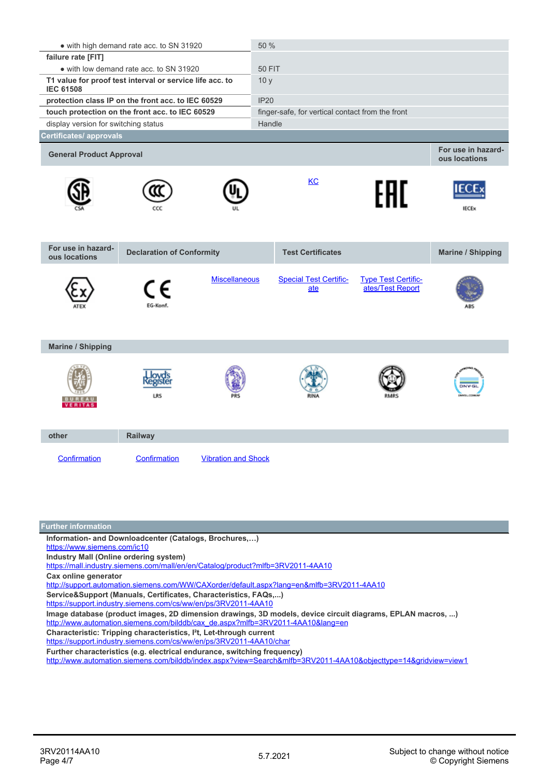|                                                                              | • with high demand rate acc. to SN 31920 | 50 %                       |                                                  |                                                |                                     |  |  |
|------------------------------------------------------------------------------|------------------------------------------|----------------------------|--------------------------------------------------|------------------------------------------------|-------------------------------------|--|--|
| failure rate [FIT]                                                           |                                          |                            |                                                  |                                                |                                     |  |  |
| • with low demand rate acc. to SN 31920                                      |                                          |                            | <b>50 FIT</b>                                    |                                                |                                     |  |  |
| T1 value for proof test interval or service life acc. to<br><b>IEC 61508</b> |                                          |                            | 10 <sub>y</sub>                                  |                                                |                                     |  |  |
| protection class IP on the front acc. to IEC 60529                           |                                          |                            | <b>IP20</b>                                      |                                                |                                     |  |  |
| touch protection on the front acc. to IEC 60529                              |                                          |                            | finger-safe, for vertical contact from the front |                                                |                                     |  |  |
| display version for switching status                                         |                                          |                            | Handle                                           |                                                |                                     |  |  |
| <b>Certificates/ approvals</b>                                               |                                          |                            |                                                  |                                                |                                     |  |  |
| <b>General Product Approval</b>                                              |                                          |                            |                                                  |                                                | For use in hazard-<br>ous locations |  |  |
|                                                                              |                                          |                            | <b>KC</b>                                        | FAT                                            | <b>IECEx</b>                        |  |  |
| For use in hazard-<br>ous locations                                          | <b>Declaration of Conformity</b>         |                            | <b>Test Certificates</b>                         |                                                | <b>Marine / Shipping</b>            |  |  |
|                                                                              | EG-Konf.                                 | <b>Miscellaneous</b>       | <b>Special Test Certific-</b><br><u>ate</u>      | <b>Type Test Certific-</b><br>ates/Test Report |                                     |  |  |
| <b>Marine / Shipping</b>                                                     |                                          |                            |                                                  |                                                |                                     |  |  |
| <b>VERITAS</b>                                                               | LRS                                      |                            |                                                  |                                                | <b>DNV-</b>                         |  |  |
| other                                                                        | Railway                                  |                            |                                                  |                                                |                                     |  |  |
| Confirmation                                                                 | Confirmation                             | <b>Vibration and Shock</b> |                                                  |                                                |                                     |  |  |

**Further information Information- and Downloadcenter (Catalogs, Brochures,…)** <https://www.siemens.com/ic10> **Industry Mall (Online ordering system)** <https://mall.industry.siemens.com/mall/en/en/Catalog/product?mlfb=3RV2011-4AA10> **Cax online generator** <http://support.automation.siemens.com/WW/CAXorder/default.aspx?lang=en&mlfb=3RV2011-4AA10> **Service&Support (Manuals, Certificates, Characteristics, FAQs,...)** <https://support.industry.siemens.com/cs/ww/en/ps/3RV2011-4AA10> **Image database (product images, 2D dimension drawings, 3D models, device circuit diagrams, EPLAN macros, ...)** [http://www.automation.siemens.com/bilddb/cax\\_de.aspx?mlfb=3RV2011-4AA10&lang=en](http://www.automation.siemens.com/bilddb/cax_de.aspx?mlfb=3RV2011-4AA10&lang=en) **Characteristic: Tripping characteristics, I²t, Let-through current** <https://support.industry.siemens.com/cs/ww/en/ps/3RV2011-4AA10/char> **Further characteristics (e.g. electrical endurance, switching frequency)** <http://www.automation.siemens.com/bilddb/index.aspx?view=Search&mlfb=3RV2011-4AA10&objecttype=14&gridview=view1>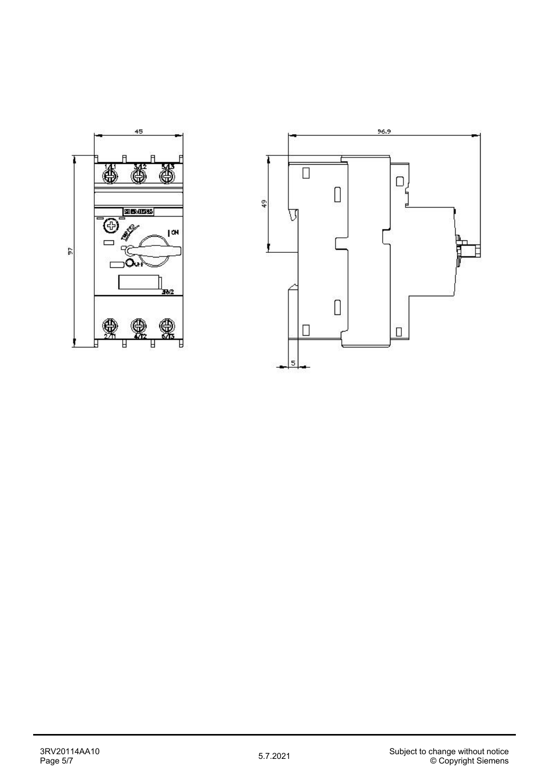

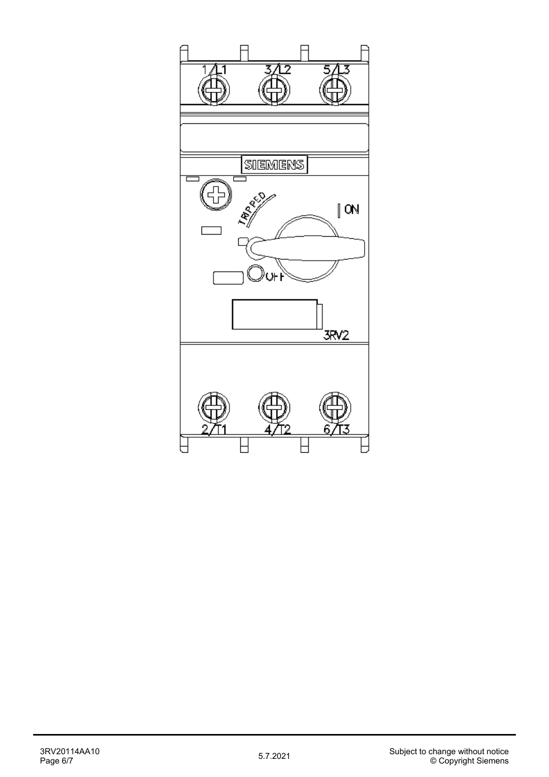